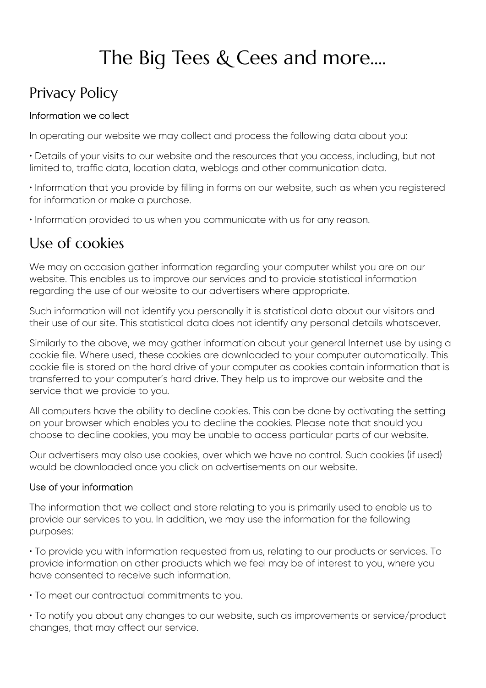# The Big Tees & Cees and more....

# Privacy Policy

# Information we collect

In operating our website we may collect and process the following data about you:

• Details of your visits to our website and the resources that you access, including, but not limited to, traffic data, location data, weblogs and other communication data.

• Information that you provide by filling in forms on our website, such as when you registered for information or make a purchase.

• Information provided to us when you communicate with us for any reason.

# Use of cookies

We may on occasion gather information regarding your computer whilst you are on our website. This enables us to improve our services and to provide statistical information regarding the use of our website to our advertisers where appropriate.

Such information will not identify you personally it is statistical data about our visitors and their use of our site. This statistical data does not identify any personal details whatsoever.

Similarly to the above, we may gather information about your general Internet use by using a cookie file. Where used, these cookies are downloaded to your computer automatically. This cookie file is stored on the hard drive of your computer as cookies contain information that is transferred to your computer's hard drive. They help us to improve our website and the service that we provide to you.

All computers have the ability to decline cookies. This can be done by activating the setting on your browser which enables you to decline the cookies. Please note that should you choose to decline cookies, you may be unable to access particular parts of our website.

Our advertisers may also use cookies, over which we have no control. Such cookies (if used) would be downloaded once you click on advertisements on our website.

# Use of your information

The information that we collect and store relating to you is primarily used to enable us to provide our services to you. In addition, we may use the information for the following purposes:

• To provide you with information requested from us, relating to our products or services. To provide information on other products which we feel may be of interest to you, where you have consented to receive such information.

• To meet our contractual commitments to you.

• To notify you about any changes to our website, such as improvements or service/product changes, that may affect our service.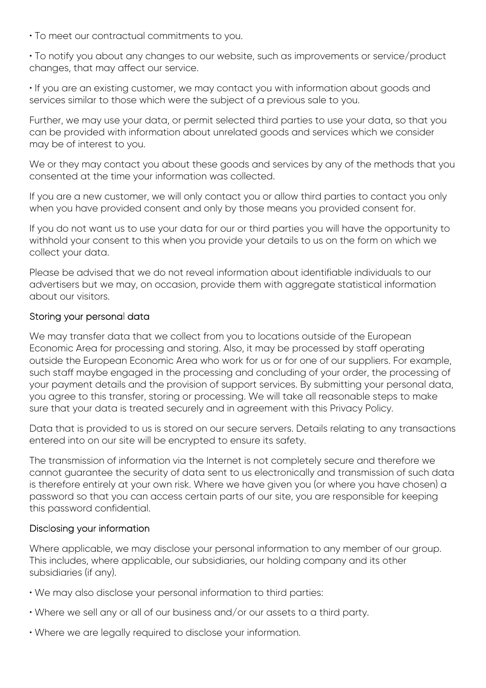- To meet our contractual commitments to you.
- To notify you about any changes to our website, such as improvements or service/product changes, that may affect our service.
- If you are an existing customer, we may contact you with information about goods and services similar to those which were the subject of a previous sale to you.

Further, we may use your data, or permit selected third parties to use your data, so that you can be provided with information about unrelated goods and services which we consider may be of interest to you.

We or they may contact you about these goods and services by any of the methods that you consented at the time your information was collected.

If you are a new customer, we will only contact you or allow third parties to contact you only when you have provided consent and only by those means you provided consent for.

If you do not want us to use your data for our or third parties you will have the opportunity to withhold your consent to this when you provide your details to us on the form on which we collect your data.

Please be advised that we do not reveal information about identifiable individuals to our advertisers but we may, on occasion, provide them with aggregate statistical information about our visitors.

### Storing your personal data

We may transfer data that we collect from you to locations outside of the European Economic Area for processing and storing. Also, it may be processed by staff operating outside the European Economic Area who work for us or for one of our suppliers. For example, such staff maybe engaged in the processing and concluding of your order, the processing of your payment details and the provision of support services. By submitting your personal data, you agree to this transfer, storing or processing. We will take all reasonable steps to make sure that your data is treated securely and in agreement with this Privacy Policy.

Data that is provided to us is stored on our secure servers. Details relating to any transactions entered into on our site will be encrypted to ensure its safety.

The transmission of information via the Internet is not completely secure and therefore we cannot guarantee the security of data sent to us electronically and transmission of such data is therefore entirely at your own risk. Where we have given you (or where you have chosen) a password so that you can access certain parts of our site, you are responsible for keeping this password confidential.

# Disclosing your information

Where applicable, we may disclose your personal information to any member of our group. This includes, where applicable, our subsidiaries, our holding company and its other subsidiaries (if any).

- We may also disclose your personal information to third parties:
- Where we sell any or all of our business and/or our assets to a third party.
- Where we are legally required to disclose your information.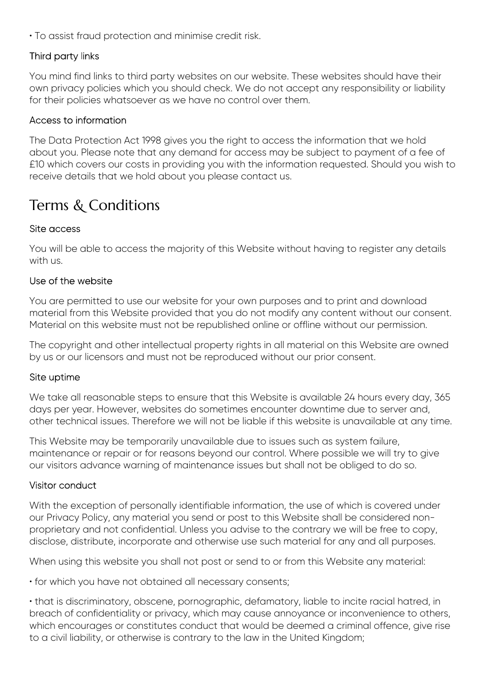• To assist fraud protection and minimise credit risk.

# Third party links

You mind find links to third party websites on our website. These websites should have their own privacy policies which you should check. We do not accept any responsibility or liability for their policies whatsoever as we have no control over them.

### Access to information

The Data Protection Act 1998 gives you the right to access the information that we hold about you. Please note that any demand for access may be subject to payment of a fee of £10 which covers our costs in providing you with the information requested. Should you wish to receive details that we hold about you please contact us.

# Terms & Conditions

### Site access

You will be able to access the majority of this Website without having to register any details with us.

#### Use of the website

You are permitted to use our website for your own purposes and to print and download material from this Website provided that you do not modify any content without our consent. Material on this website must not be republished online or offline without our permission.

The copyright and other intellectual property rights in all material on this Website are owned by us or our licensors and must not be reproduced without our prior consent.

#### Site uptime

We take all reasonable steps to ensure that this Website is available 24 hours every day, 365 days per year. However, websites do sometimes encounter downtime due to server and, other technical issues. Therefore we will not be liable if this website is unavailable at any time.

This Website may be temporarily unavailable due to issues such as system failure, maintenance or repair or for reasons beyond our control. Where possible we will try to give our visitors advance warning of maintenance issues but shall not be obliged to do so.

#### Visitor conduct

With the exception of personally identifiable information, the use of which is covered under our Privacy Policy, any material you send or post to this Website shall be considered nonproprietary and not confidential. Unless you advise to the contrary we will be free to copy, disclose, distribute, incorporate and otherwise use such material for any and all purposes.

When using this website you shall not post or send to or from this Website any material:

• for which you have not obtained all necessary consents;

• that is discriminatory, obscene, pornographic, defamatory, liable to incite racial hatred, in breach of confidentiality or privacy, which may cause annoyance or inconvenience to others, which encourages or constitutes conduct that would be deemed a criminal offence, give rise to a civil liability, or otherwise is contrary to the law in the United Kingdom;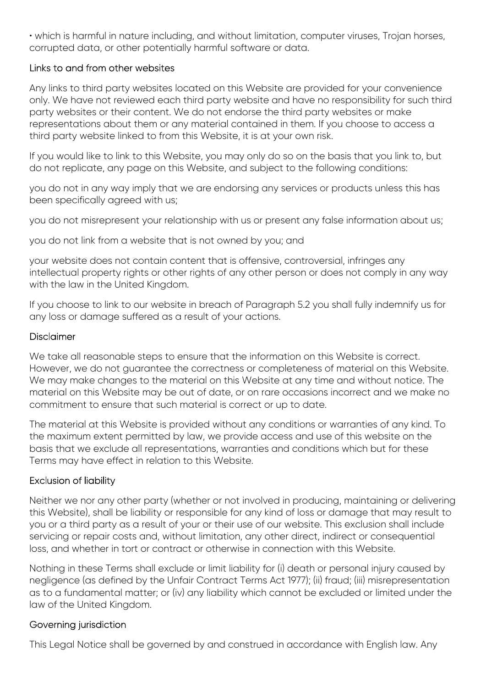• which is harmful in nature including, and without limitation, computer viruses, Trojan horses, corrupted data, or other potentially harmful software or data.

### Links to and from other websites

Any links to third party websites located on this Website are provided for your convenience only. We have not reviewed each third party website and have no responsibility for such third party websites or their content. We do not endorse the third party websites or make representations about them or any material contained in them. If you choose to access a third party website linked to from this Website, it is at your own risk.

If you would like to link to this Website, you may only do so on the basis that you link to, but do not replicate, any page on this Website, and subject to the following conditions:

you do not in any way imply that we are endorsing any services or products unless this has been specifically agreed with us;

you do not misrepresent your relationship with us or present any false information about us;

you do not link from a website that is not owned by you; and

your website does not contain content that is offensive, controversial, infringes any intellectual property rights or other rights of any other person or does not comply in any way with the law in the United Kingdom.

If you choose to link to our website in breach of Paragraph 5.2 you shall fully indemnify us for any loss or damage suffered as a result of your actions.

### Disclaimer

We take all reasonable steps to ensure that the information on this Website is correct. However, we do not guarantee the correctness or completeness of material on this Website. We may make changes to the material on this Website at any time and without notice. The material on this Website may be out of date, or on rare occasions incorrect and we make no commitment to ensure that such material is correct or up to date.

The material at this Website is provided without any conditions or warranties of any kind. To the maximum extent permitted by law, we provide access and use of this website on the basis that we exclude all representations, warranties and conditions which but for these Terms may have effect in relation to this Website.

# Exclusion of liability

Neither we nor any other party (whether or not involved in producing, maintaining or delivering this Website), shall be liability or responsible for any kind of loss or damage that may result to you or a third party as a result of your or their use of our website. This exclusion shall include servicing or repair costs and, without limitation, any other direct, indirect or consequential loss, and whether in tort or contract or otherwise in connection with this Website.

Nothing in these Terms shall exclude or limit liability for (i) death or personal injury caused by negligence (as defined by the Unfair Contract Terms Act 1977); (ii) fraud; (iii) misrepresentation as to a fundamental matter; or (iv) any liability which cannot be excluded or limited under the law of the United Kingdom.

# Governing jurisdiction

This Legal Notice shall be governed by and construed in accordance with English law. Any